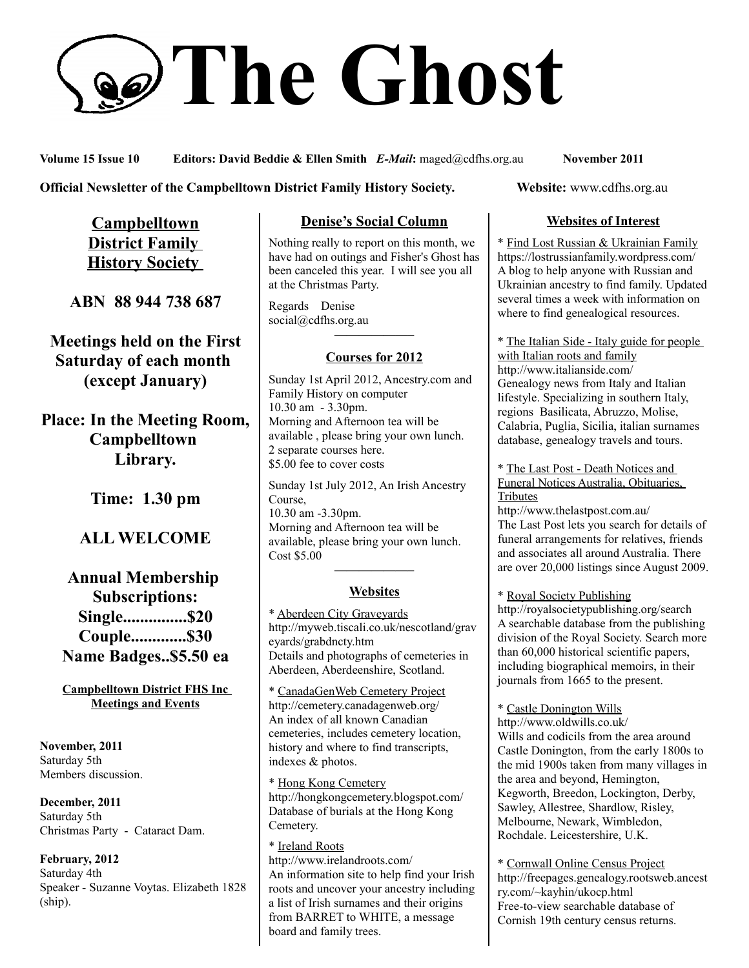# **The Ghost**

**Volume 15 Issue 10 Editors: David Beddie & Ellen Smith** *E-Mail***:** maged@cdfhs.org.au **November 2011**

#### **Official Newsletter of the Campbelltown District Family History Society. Website: www.cdfhs.org.au**

**Campbelltown District Family History Society** 

**ABN 88 944 738 687**

**Meetings held on the First Saturday of each month (except January)**

**Place: In the Meeting Room, Campbelltown Library.**

**Time: 1.30 pm**

# **ALL WELCOME**

**Annual Membership Subscriptions: Single...............\$20 Couple.............\$30 Name Badges..\$5.50 ea**

**Campbelltown District FHS Inc Meetings and Events**

**November, 2011** Saturday 5th Members discussion.

**December, 2011** Saturday 5th Christmas Party - Cataract Dam.

**February, 2012** Saturday 4th Speaker - Suzanne Voytas. Elizabeth 1828 (ship).

#### **Denise's Social Column**

Nothing really to report on this month, we have had on outings and Fisher's Ghost has been canceled this year. I will see you all at the Christmas Party.

Regards Denise social@cdfhs.org.au

# **——————– Courses for 2012**

Sunday 1st April 2012, Ancestry.com and Family History on computer 10.30 am - 3.30pm. Morning and Afternoon tea will be available , please bring your own lunch. 2 separate courses here. \$5.00 fee to cover costs

Sunday 1st July 2012, An Irish Ancestry Course, 10.30 am -3.30pm. Morning and Afternoon tea will be available, please bring your own lunch. Cost \$5.00

# **——————– Websites**

\* Aberdeen City Graveyards http://myweb.tiscali.co.uk/nescotland/grav eyards/grabdncty.htm Details and photographs of cemeteries in Aberdeen, Aberdeenshire, Scotland.

\* CanadaGenWeb Cemetery Project http://cemetery.canadagenweb.org/ An index of all known Canadian cemeteries, includes cemetery location, history and where to find transcripts, indexes & photos.

\* Hong Kong Cemetery http://hongkongcemetery.blogspot.com/ Database of burials at the Hong Kong Cemetery.

\* Ireland Roots http://www.irelandroots.com/ An information site to help find your Irish roots and uncover your ancestry including a list of Irish surnames and their origins from BARRET to WHITE, a message board and family trees.

#### **Websites of Interest**

\* Find Lost Russian & Ukrainian Family https://lostrussianfamily.wordpress.com/ A blog to help anyone with Russian and Ukrainian ancestry to find family. Updated several times a week with information on where to find genealogical resources.

\* The Italian Side - Italy guide for people with Italian roots and family http://www.italianside.com/ Genealogy news from Italy and Italian lifestyle. Specializing in southern Italy, regions Basilicata, Abruzzo, Molise, Calabria, Puglia, Sicilia, italian surnames database, genealogy travels and tours.

\* The Last Post - Death Notices and Funeral Notices Australia, Obituaries, Tributes

http://www.thelastpost.com.au/ The Last Post lets you search for details of funeral arrangements for relatives, friends and associates all around Australia. There are over 20,000 listings since August 2009.

\* Royal Society Publishing http://royalsocietypublishing.org/search A searchable database from the publishing division of the Royal Society. Search more than 60,000 historical scientific papers, including biographical memoirs, in their journals from 1665 to the present.

\* Castle Donington Wills http://www.oldwills.co.uk/ Wills and codicils from the area around Castle Donington, from the early 1800s to the mid 1900s taken from many villages in the area and beyond, Hemington, Kegworth, Breedon, Lockington, Derby, Sawley, Allestree, Shardlow, Risley, Melbourne, Newark, Wimbledon, Rochdale. Leicestershire, U.K.

\* Cornwall Online Census Project http://freepages.genealogy.rootsweb.ancest ry.com/~kayhin/ukocp.html Free-to-view searchable database of Cornish 19th century census returns.